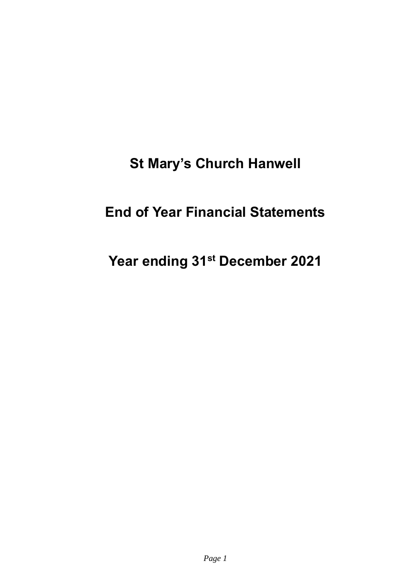# **St Mary's Church Hanwell**

## **End of Year Financial Statements**

# **Year ending 31st December 2021**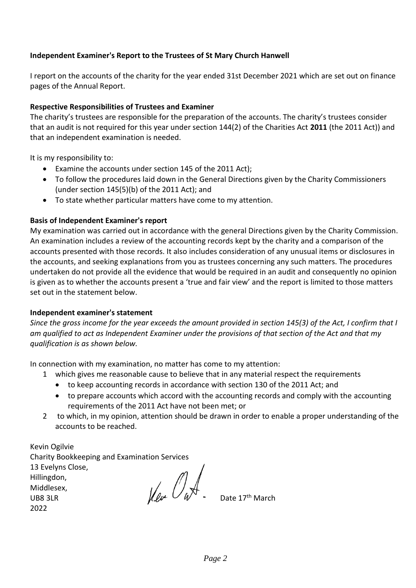#### **Independent Examiner's Report to the Trustees of St Mary Church Hanwell**

I report on the accounts of the charity for the year ended 31st December 2021 which are set out on finance pages of the Annual Report.

#### **Respective Responsibilities of Trustees and Examiner**

The charity's trustees are responsible for the preparation of the accounts. The charity's trustees consider that an audit is not required for this year under section 144(2) of the Charities Act **2011** (the 2011 Act)) and that an independent examination is needed.

It is my responsibility to:

- Examine the accounts under section 145 of the 2011 Act);
- To follow the procedures laid down in the General Directions given by the Charity Commissioners (under section 145(5)(b) of the 2011 Act); and
- To state whether particular matters have come to my attention.

#### **Basis of Independent Examiner's report**

My examination was carried out in accordance with the general Directions given by the Charity Commission. An examination includes a review of the accounting records kept by the charity and a comparison of the accounts presented with those records. It also includes consideration of any unusual items or disclosures in the accounts, and seeking explanations from you as trustees concerning any such matters. The procedures undertaken do not provide all the evidence that would be required in an audit and consequently no opinion is given as to whether the accounts present a 'true and fair view' and the report is limited to those matters set out in the statement below.

#### **Independent examiner's statement**

*Since the gross income for the year exceeds the amount provided in section 145(3) of the Act, I confirm that I am qualified to act as Independent Examiner under the provisions of that section of the Act and that my qualification is as shown below.* 

In connection with my examination, no matter has come to my attention:

- 1 which gives me reasonable cause to believe that in any material respect the requirements
	- to keep accounting records in accordance with section 130 of the 2011 Act; and
	- to prepare accounts which accord with the accounting records and comply with the accounting requirements of the 2011 Act have not been met; or
- 2 to which, in my opinion, attention should be drawn in order to enable a proper understanding of the accounts to be reached.

| Kevin Ogilvie                                |         |
|----------------------------------------------|---------|
| Charity Bookkeeping and Examination Services |         |
| 13 Evelyns Close,                            |         |
| Hillingdon,                                  |         |
| Middlesex,                                   |         |
| UB83LR                                       | Uleve L |
| วกวว                                         |         |

Date 17<sup>th</sup> March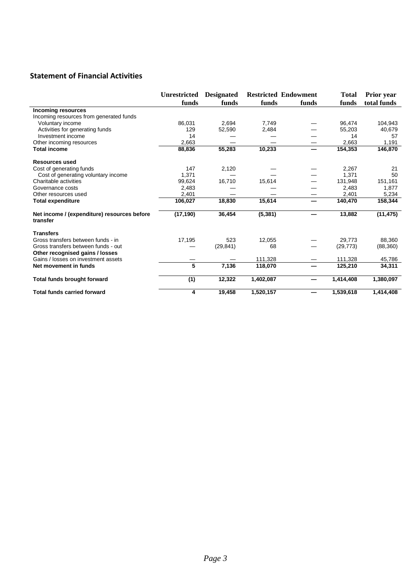### **Statement of Financial Activities**

|                                                         | <b>Unrestricted</b><br>funds | <b>Designated</b><br>funds | funds     | <b>Restricted Endowment</b><br>funds | <b>Total</b><br>funds | <b>Prior</b> year<br>total funds |
|---------------------------------------------------------|------------------------------|----------------------------|-----------|--------------------------------------|-----------------------|----------------------------------|
| Incoming resources                                      |                              |                            |           |                                      |                       |                                  |
| Incoming resources from generated funds                 |                              |                            |           |                                      |                       |                                  |
| Voluntary income                                        | 86,031                       | 2,694                      | 7,749     |                                      | 96,474                | 104,943                          |
| Activities for generating funds                         | 129                          | 52,590                     | 2,484     |                                      | 55,203                | 40,679                           |
| Investment income                                       | 14                           |                            |           |                                      | 14                    | 57                               |
| Other incoming resources                                | 2,663                        |                            |           | —                                    | 2.663                 | 1.191                            |
| Total income                                            | 88,836                       | 55,283                     | 10,233    | -                                    | 154,353               | 146,870                          |
| <b>Resources used</b>                                   |                              |                            |           |                                      |                       |                                  |
| Cost of generating funds                                | 147                          | 2,120                      |           |                                      | 2,267                 | 21                               |
| Cost of generating voluntary income                     | 1,371                        |                            |           |                                      | 1,371                 | 50                               |
| Charitable activities                                   | 99,624                       | 16,710                     | 15,614    |                                      | 131,948               | 151,161                          |
| Governance costs                                        | 2,483                        |                            |           |                                      | 2,483                 | 1,877                            |
| Other resources used                                    | 2,401                        |                            |           |                                      | 2,401                 | 5,234                            |
| <b>Total expenditure</b>                                | 106,027                      | 18,830                     | 15,614    | -                                    | 140,470               | 158,344                          |
| Net income / (expenditure) resources before<br>transfer | (17, 190)                    | 36,454                     | (5, 381)  |                                      | 13,882                | (11, 475)                        |
| <b>Transfers</b>                                        |                              |                            |           |                                      |                       |                                  |
| Gross transfers between funds - in                      | 17,195                       | 523                        | 12,055    |                                      | 29.773                | 88.360                           |
| Gross transfers between funds - out                     |                              | (29, 841)                  | 68        |                                      | (29, 773)             | (88, 360)                        |
| Other recognised gains / losses                         |                              |                            |           |                                      |                       |                                  |
| Gains / losses on investment assets                     |                              |                            | 111,328   |                                      | 111,328               | 45,786                           |
| Net movement in funds                                   | 5                            | 7,136                      | 118,070   | —                                    | 125,210               | 34,311                           |
| Total funds brought forward                             | (1)                          | 12,322                     | 1,402,087 | —                                    | 1,414,408             | 1,380,097                        |
| <b>Total funds carried forward</b>                      | 4                            | 19,458                     | 1,520,157 | –                                    | 1,539,618             | 1,414,408                        |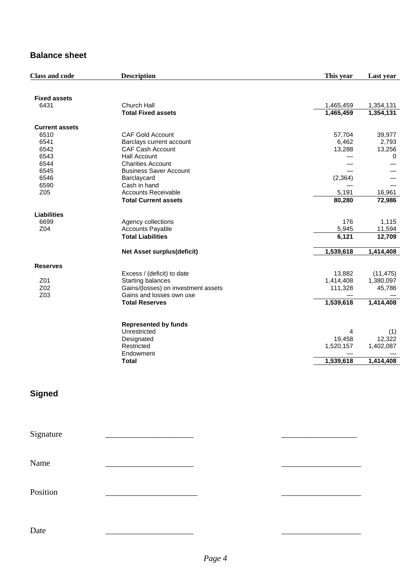### **Balance sheet**

| <b>Class and code</b> | <b>Description</b>                  | This year | Last year |
|-----------------------|-------------------------------------|-----------|-----------|
| <b>Fixed assets</b>   |                                     |           |           |
| 6431                  | Church Hall                         | 1,465,459 | 1,354,131 |
|                       | <b>Total Fixed assets</b>           | 1,465,459 | 1,354,131 |
| <b>Current assets</b> |                                     |           |           |
| 6510                  | <b>CAF Gold Account</b>             | 57,704    | 39,977    |
| 6541                  | Barclays current account            | 6,462     | 2,793     |
| 6542                  | <b>CAF Cash Account</b>             | 13,288    | 13,256    |
| 6543                  | <b>Hall Account</b>                 |           | 0         |
| 6544                  | <b>Charities Account</b>            |           |           |
| 6545                  | <b>Business Saver Account</b>       |           |           |
| 6546                  | Barclaycard                         | (2, 364)  |           |
| 6590                  | Cash in hand                        |           |           |
| Z05                   | <b>Accounts Receivable</b>          | 5,191     | 16,961    |
|                       | <b>Total Current assets</b>         | 80,280    | 72,986    |
| <b>Liabilities</b>    |                                     |           |           |
| 6699                  | Agency collections                  | 176       | 1,115     |
| Z04                   | <b>Accounts Payable</b>             | 5,945     | 11,594    |
|                       | <b>Total Liabilities</b>            | 6,121     | 12,709    |
|                       | Net Asset surplus(deficit)          | 1,539,618 | 1,414,408 |
| <b>Reserves</b>       |                                     |           |           |
|                       | Excess / (deficit) to date          | 13,882    | (11, 475) |
| Z01                   | Starting balances                   | 1,414,408 | 1,380,097 |
| Z02                   | Gains/(losses) on investment assets | 111,328   | 45,786    |
| Z03                   | Gains and losses own use            |           |           |
|                       | <b>Total Reserves</b>               | 1,539,618 | 1,414,408 |
|                       |                                     |           |           |
|                       | <b>Represented by funds</b>         |           |           |
|                       | Unrestricted                        | 4         | (1)       |
|                       | Designated                          | 19,458    | 12,322    |
|                       | Restricted                          | 1,520,157 | 1,402,087 |
|                       | Endowment                           |           |           |
|                       | <b>Total</b>                        | 1,539,618 | 1,414,408 |

### **Signed**

| Signature |  |  |
|-----------|--|--|
| Name      |  |  |
| Position  |  |  |
| Date      |  |  |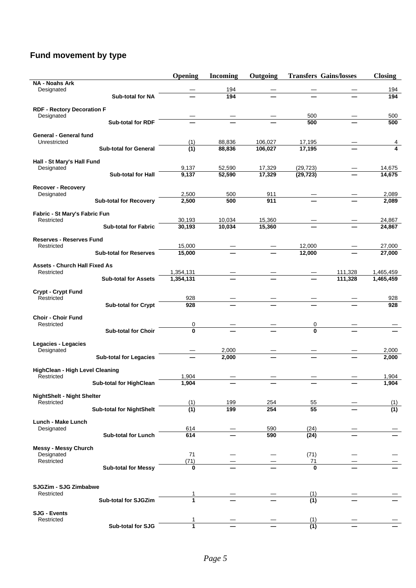## **Fund movement by type**

|                                                      |                                 | Opening            | <b>Incoming</b> | Outgoing | <b>Transfers Gains/losses</b> |         | <b>Closing</b>   |
|------------------------------------------------------|---------------------------------|--------------------|-----------------|----------|-------------------------------|---------|------------------|
| <b>NA - Noahs Ark</b><br>Designated                  |                                 |                    | 194             |          |                               |         |                  |
|                                                      | <b>Sub-total for NA</b>         |                    | 194             |          |                               |         | 194<br>194       |
|                                                      |                                 |                    |                 |          |                               |         |                  |
| <b>RDF - Rectory Decoration F</b><br>Designated      |                                 |                    |                 |          | 500                           |         | 500              |
|                                                      | <b>Sub-total for RDF</b>        |                    |                 |          | 500                           |         | 500              |
|                                                      |                                 |                    |                 |          |                               |         |                  |
| General - General fund<br>Unrestricted               |                                 | (1)                | 88,836          | 106,027  | 17,195                        |         | 4                |
|                                                      | <b>Sub-total for General</b>    | $\overline{(1)}$   | 88,836          | 106,027  | 17,195                        |         | 4                |
|                                                      |                                 |                    |                 |          |                               |         |                  |
| Hall - St Mary's Hall Fund<br>Designated             |                                 | 9,137              | 52,590          | 17,329   | (29, 723)                     |         | 14,675           |
|                                                      | <b>Sub-total for Hall</b>       | $\overline{9,137}$ | 52,590          | 17,329   | (29, 723)                     |         | 14,675           |
|                                                      |                                 |                    |                 |          |                               |         |                  |
| <b>Recover - Recovery</b><br>Designated              |                                 | 2,500              | 500             | 911      |                               |         | 2,089            |
|                                                      | <b>Sub-total for Recovery</b>   | 2,500              | 500             | 911      |                               |         | 2,089            |
|                                                      |                                 |                    |                 |          |                               |         |                  |
| Fabric - St Mary's Fabric Fun<br>Restricted          |                                 | 30,193             | 10,034          | 15,360   |                               |         | 24,867           |
|                                                      | <b>Sub-total for Fabric</b>     | 30,193             | 10,034          | 15,360   |                               |         | 24,867           |
|                                                      |                                 |                    |                 |          |                               |         |                  |
| <b>Reserves - Reserves Fund</b><br>Restricted        |                                 | 15,000             |                 |          | 12,000                        |         | 27,000           |
|                                                      | <b>Sub-total for Reserves</b>   | 15,000             |                 |          | 12,000                        |         | 27,000           |
|                                                      |                                 |                    |                 |          |                               |         |                  |
| <b>Assets - Church Hall Fixed As</b><br>Restricted   |                                 | 1,354,131          |                 |          |                               | 111,328 | 1,465,459        |
|                                                      | <b>Sub-total for Assets</b>     | 1,354,131          |                 |          |                               | 111,328 | 1,465,459        |
|                                                      |                                 |                    |                 |          |                               |         |                  |
| Crypt - Crypt Fund<br>Restricted                     |                                 | 928                |                 |          |                               |         | 928              |
|                                                      | <b>Sub-total for Crypt</b>      | 928                |                 |          |                               |         | 928              |
|                                                      |                                 |                    |                 |          |                               |         |                  |
| <b>Choir - Choir Fund</b><br>Restricted              |                                 | 0                  |                 |          | 0                             |         |                  |
|                                                      | <b>Sub-total for Choir</b>      | 0                  |                 |          | $\mathbf{0}$                  |         |                  |
|                                                      |                                 |                    |                 |          |                               |         |                  |
| Legacies - Legacies<br>Designated                    |                                 |                    | 2,000           |          |                               |         | 2,000            |
|                                                      | <b>Sub-total for Legacies</b>   |                    | 2,000           |          |                               |         | 2,000            |
|                                                      |                                 |                    |                 |          |                               |         |                  |
| <b>HighClean - High Level Cleaning</b><br>Restricted |                                 | 1,904              |                 |          |                               |         | 1,904            |
|                                                      | <b>Sub-total for HighClean</b>  | 1,904              |                 |          |                               |         | 1,904            |
|                                                      |                                 |                    |                 |          |                               |         |                  |
| <b>NightShelt - Night Shelter</b><br>Restricted      |                                 | (1)                | 199             | 254      | 55                            |         | (1)              |
|                                                      | <b>Sub-total for NightShelt</b> | (1)                | 199             | 254      | 55                            |         | $\overline{(1)}$ |
|                                                      |                                 |                    |                 |          |                               |         |                  |
| Lunch - Make Lunch<br>Designated                     |                                 | 614                |                 | 590      | (24)                          |         |                  |
|                                                      | Sub-total for Lunch             | 614                |                 | 590      | (24)                          |         |                  |
|                                                      |                                 |                    |                 |          |                               |         |                  |
| <b>Messy - Messy Church</b><br>Designated            |                                 | 71                 |                 |          | (71)                          |         |                  |
| Restricted                                           |                                 | (71)               |                 |          | 71                            |         |                  |
|                                                      | <b>Sub-total for Messy</b>      | 0                  |                 |          | O                             |         |                  |
|                                                      |                                 |                    |                 |          |                               |         |                  |
| <b>SJGZim - SJG Zimbabwe</b>                         |                                 |                    |                 |          |                               |         |                  |
| Restricted                                           | Sub-total for SJGZim            | 1<br>1             |                 |          | (1)<br>$\overline{(1)}$       |         |                  |
|                                                      |                                 |                    |                 |          |                               |         |                  |
| <b>SJG - Events</b>                                  |                                 |                    |                 |          |                               |         |                  |
| Restricted                                           | Sub-total for SJG               | 1<br>1             |                 |          | (1)<br>(1)                    |         |                  |
|                                                      |                                 |                    |                 |          |                               |         |                  |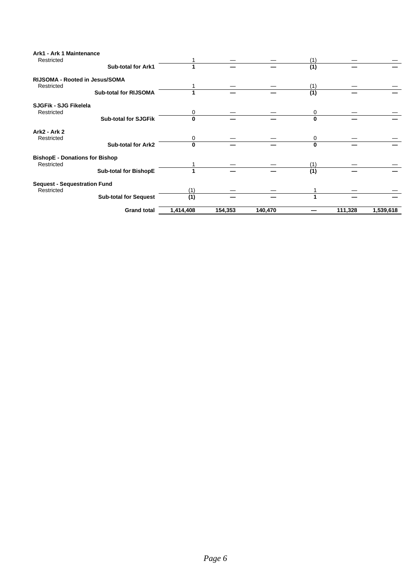| Ark1 - Ark 1 Maintenance<br>Restricted |                              |           |         |         | (1)              |         |           |
|----------------------------------------|------------------------------|-----------|---------|---------|------------------|---------|-----------|
|                                        | <b>Sub-total for Ark1</b>    |           |         |         | (1)              |         |           |
| RIJSOMA - Rooted in Jesus/SOMA         |                              |           |         |         |                  |         |           |
| Restricted                             |                              |           |         |         | (1)              |         |           |
|                                        | <b>Sub-total for RIJSOMA</b> |           |         |         | (1)              |         |           |
| SJGFik - SJG Fikelela                  |                              |           |         |         |                  |         |           |
| Restricted                             |                              | 0         |         |         | 0                |         |           |
|                                        | <b>Sub-total for SJGFik</b>  | $\bf{0}$  |         |         | 0                |         |           |
| <b>Ark2 - Ark 2</b>                    |                              |           |         |         |                  |         |           |
| Restricted                             |                              | 0         |         |         | 0                |         |           |
|                                        | <b>Sub-total for Ark2</b>    | $\bf{0}$  |         |         | 0                |         |           |
| <b>BishopE - Donations for Bishop</b>  |                              |           |         |         |                  |         |           |
| Restricted                             |                              |           |         |         | (1)              |         |           |
|                                        | <b>Sub-total for BishopE</b> |           |         |         | $\overline{(1)}$ |         |           |
| <b>Sequest - Sequestration Fund</b>    |                              |           |         |         |                  |         |           |
| Restricted                             |                              | (1)       |         |         |                  |         |           |
|                                        | <b>Sub-total for Sequest</b> | (1)       |         |         |                  |         |           |
|                                        | <b>Grand total</b>           | 1,414,408 | 154,353 | 140,470 |                  | 111,328 | 1,539,618 |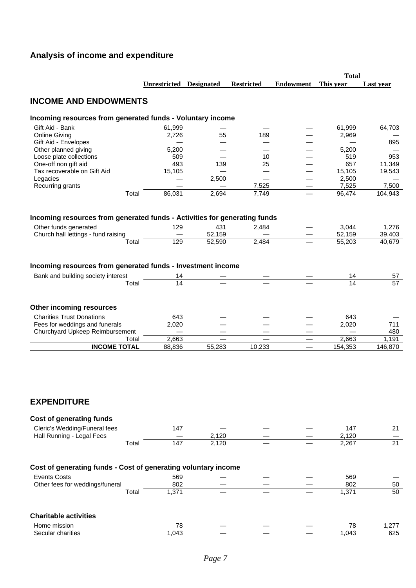## **Analysis of income and expenditure**

|                                                                                                                                                    |                         |                         |                          |                          | <b>Total</b>              |                           |
|----------------------------------------------------------------------------------------------------------------------------------------------------|-------------------------|-------------------------|--------------------------|--------------------------|---------------------------|---------------------------|
|                                                                                                                                                    | Unrestricted Designated |                         | <b>Restricted</b>        | <b>Endowment</b>         | This year                 | Last year                 |
| <b>INCOME AND ENDOWMENTS</b>                                                                                                                       |                         |                         |                          |                          |                           |                           |
| Incoming resources from generated funds - Voluntary income                                                                                         |                         |                         |                          |                          |                           |                           |
| Gift Aid - Bank                                                                                                                                    | 61,999                  |                         |                          |                          | 61,999                    | 64,703                    |
| <b>Online Giving</b>                                                                                                                               | 2,726                   | 55                      | 189                      |                          | 2,969                     |                           |
| Gift Aid - Envelopes                                                                                                                               |                         |                         |                          |                          |                           | 895                       |
| Other planned giving                                                                                                                               | 5,200                   |                         |                          |                          | 5,200                     |                           |
| Loose plate collections                                                                                                                            | 509                     |                         | 10                       |                          | 519                       | 953                       |
| One-off non gift aid                                                                                                                               | 493                     | 139                     | 25                       |                          | 657                       | 11,349                    |
| Tax recoverable on Gift Aid                                                                                                                        | 15,105                  |                         |                          |                          | 15,105                    | 19,543                    |
| Legacies                                                                                                                                           |                         | 2,500                   | $\overline{\phantom{0}}$ |                          | 2,500                     |                           |
| Recurring grants                                                                                                                                   |                         |                         | 7,525                    |                          | 7,525                     | 7,500                     |
| Total                                                                                                                                              | 86,031                  | 2,694                   | 7,749                    |                          | 96,474                    | 104,943                   |
| Incoming resources from generated funds - Activities for generating funds<br>Other funds generated<br>Church hall lettings - fund raising<br>Total | 129<br>129              | 431<br>52,159<br>52,590 | 2,484<br>2,484           |                          | 3,044<br>52,159<br>55,203 | 1,276<br>39,403<br>40,679 |
|                                                                                                                                                    |                         |                         |                          |                          |                           |                           |
| Incoming resources from generated funds - Investment income                                                                                        |                         |                         |                          |                          |                           |                           |
| Bank and building society interest                                                                                                                 | 14                      |                         |                          |                          | 14                        | 57                        |
| Total                                                                                                                                              | 14                      |                         |                          |                          | 14                        | 57                        |
| <b>Other incoming resources</b><br><b>Charities Trust Donations</b><br>Fees for weddings and funerals                                              | 643<br>2,020            |                         |                          |                          | 643<br>2,020              | 711                       |
| Churchyard Upkeep Reimbursement                                                                                                                    |                         |                         |                          |                          |                           | 480                       |
| Total                                                                                                                                              | 2,663                   |                         |                          |                          | 2,663                     | 1,191                     |
| <b>INCOME TOTAL</b>                                                                                                                                | 88,836                  | 55,283                  | 10,233                   | $\overline{\phantom{0}}$ | 154,353                   | 146,870                   |
| <b>EXPENDITURE</b>                                                                                                                                 |                         |                         |                          |                          |                           |                           |
| <b>Cost of generating funds</b>                                                                                                                    |                         |                         |                          |                          |                           |                           |
| Cleric's Wedding/Funeral fees                                                                                                                      | 147                     |                         |                          |                          | 147                       | 21                        |
| Hall Running - Legal Fees                                                                                                                          |                         | 2,120                   |                          |                          | 2,120                     |                           |
| Total                                                                                                                                              | 147                     | $\overline{2,}120$      |                          |                          | 2,267                     | $\overline{21}$           |
|                                                                                                                                                    |                         |                         |                          |                          |                           |                           |
| Cost of generating funds - Cost of generating voluntary income                                                                                     |                         |                         |                          |                          |                           |                           |
| <b>Events Costs</b>                                                                                                                                | 569                     |                         |                          |                          | 569                       |                           |
| Other fees for weddings/funeral                                                                                                                    | 802                     |                         |                          |                          | 802                       | 50                        |
| Total                                                                                                                                              | 1,371                   |                         |                          |                          | 1,371                     | 50                        |
| <b>Charitable activities</b>                                                                                                                       |                         |                         |                          |                          |                           |                           |
|                                                                                                                                                    |                         |                         |                          |                          |                           |                           |
| Home mission<br>Secular charities                                                                                                                  | 78<br>1,043             |                         |                          |                          | 78<br>1,043               | 1,277<br>625              |